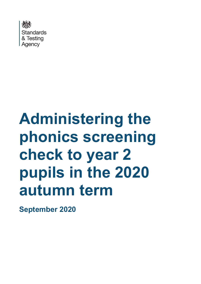

# **Administering the phonics screening check to year 2 pupils in the 2020 autumn term**

**September 2020**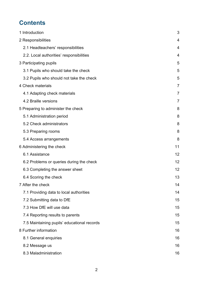# **Contents**

| 1 Introduction                              | 3              |
|---------------------------------------------|----------------|
| 2 Responsibilities                          | 4              |
| 2.1 Headteachers' responsibilities          | 4              |
| 2.2. Local authorities' responsibilities    | 4              |
| 3 Participating pupils                      | 5              |
| 3.1 Pupils who should take the check        | 5              |
| 3.2 Pupils who should not take the check    | 5              |
| 4 Check materials                           | $\overline{7}$ |
| 4.1 Adapting check materials                | $\overline{7}$ |
| 4.2 Braille versions                        | $\overline{7}$ |
| 5 Preparing to administer the check         | 8              |
| 5.1 Administration period                   | 8              |
| 5.2 Check administrators                    | 8              |
| 5.3 Preparing rooms                         | 8              |
| 5.4 Access arrangements                     | 8              |
| 6 Administering the check                   | 11             |
| 6.1 Assistance                              | 12             |
| 6.2 Problems or queries during the check    | 12             |
| 6.3 Completing the answer sheet             | 12             |
| 6.4 Scoring the check                       | 13             |
| 7 After the check                           | 14             |
| 7.1 Providing data to local authorities     | 14             |
| 7.2 Submitting data to DfE                  | 15             |
| 7.3 How DfE will use data                   | 15             |
| 7.4 Reporting results to parents            | 15             |
| 7.5 Maintaining pupils' educational records | 15             |
| 8 Further information                       | 16             |
| 8.1 General enquiries                       | 16             |
| 8.2 Message us                              | 16             |
| 8.3 Maladministration                       | 16             |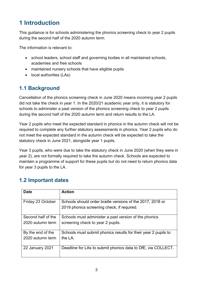# <span id="page-2-0"></span>**1 Introduction**

This guidance is for schools administering the phonics screening check to year 2 pupils during the second half of the 2020 autumn term.

The information is relevant to:

- school leaders, school staff and governing bodies in all maintained schools, academies and free schools
- maintained nursery schools that have eligible pupils
- local authorities (LAs)

## **1.1 Background**

Cancellation of the phonics screening check in June 2020 means incoming year 2 pupils did not take the check in year 1. In the 2020/21 academic year only, it is statutory for schools to administer a past version of the phonics screening check to year 2 pupils during the second half of the 2020 autumn term and return results to the LA.

Year 2 pupils who meet the expected standard in phonics in the autumn check will not be required to complete any further statutory assessments in phonics. Year 2 pupils who do not meet the expected standard in the autumn check will be expected to take the statutory check in June 2021, alongside year 1 pupils.

Year 3 pupils, who were due to take the statutory check in June 2020 (when they were in year 2), are not formally required to take the autumn check. Schools are expected to maintain a programme of support for these pupils but do not need to return phonics data for year 3 pupils to the LA.

| <b>Date</b>                            | <b>Action</b>                                                                                            |
|----------------------------------------|----------------------------------------------------------------------------------------------------------|
| Friday 23 October                      | Schools should order braille versions of the 2017, 2018 or<br>2019 phonics screening check, if required. |
| Second half of the<br>2020 autumn term | Schools must administer a past version of the phonics<br>screening check to year 2 pupils.               |
| By the end of the<br>2020 autumn term  | Schools must submit phonics results for their year 2 pupils to<br>the LA.                                |
| <b>22 January 2021</b>                 | Deadline for LAs to submit phonics data to DfE, via COLLECT.                                             |

# **1.2 Important dates**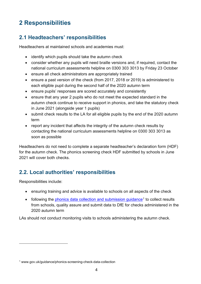# <span id="page-3-0"></span>**2 Responsibilities**

# <span id="page-3-1"></span>**2.1 Headteachers' responsibilities**

Headteachers at maintained schools and academies must:

- identify which pupils should take the autumn check
- consider whether any pupils will need braille versions and, if required, contact the national curriculum assessments helpline on 0300 303 3013 by Friday 23 October
- ensure all check administrators are appropriately trained
- ensure a past version of the check (from 2017, 2018 or 2019) is administered to each eligible pupil during the second half of the 2020 autumn term
- ensure pupils' responses are scored accurately and consistently
- ensure that any year 2 pupils who do not meet the expected standard in the autumn check continue to receive support in phonics, and take the statutory check in June 2021 (alongside year 1 pupils)
- submit check results to the LA for all eligible pupils by the end of the 2020 autumn term
- report any incident that affects the integrity of the autumn check results by contacting the national curriculum assessments helpline on 0300 303 3013 as soon as possible

Headteachers do not need to complete a separate headteacher's declaration form (HDF) for the autumn check. The phonics screening check HDF submitted by schools in June 2021 will cover both checks.

# <span id="page-3-2"></span>**2.2. Local authorities' responsibilities**

Responsibilities include:

- ensuring training and advice is available to schools on all aspects of the check
- following the phonics data collection and submission quidance<sup>[1](#page-3-3)</sup> to collect results from schools, quality assure and submit data to DfE for checks administered in the 2020 autumn term

LAs should not conduct monitoring visits to schools administering the autumn check.

<span id="page-3-3"></span><sup>1</sup> www.gov.uk/guidance/phonics-screening-check-data-collection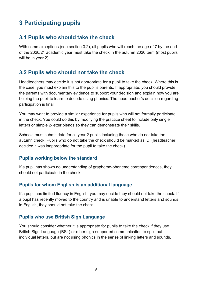# <span id="page-4-0"></span>**3 Participating pupils**

## <span id="page-4-1"></span>**3.1 Pupils who should take the check**

With some exceptions (see section 3.2), all pupils who will reach the age of 7 by the end of the 2020/21 academic year must take the check in the autumn 2020 term (most pupils will be in year 2).

## <span id="page-4-2"></span>**3.2 Pupils who should not take the check**

Headteachers may decide it is not appropriate for a pupil to take the check. Where this is the case, you must explain this to the pupil's parents. If appropriate, you should provide the parents with documentary evidence to support your decision and explain how you are helping the pupil to learn to decode using phonics. The headteacher's decision regarding participation is final.

You may want to provide a similar experience for pupils who will not formally participate in the check. You could do this by modifying the practice sheet to include only single letters or simple 2-letter blends so they can demonstrate their skills.

Schools must submit data for all year 2 pupils including those who do not take the autumn check. Pupils who do not take the check should be marked as 'D' (headteacher decided it was inappropriate for the pupil to take the check).

#### **Pupils working below the standard**

If a pupil has shown no understanding of grapheme-phoneme correspondences, they should not participate in the check.

#### **Pupils for whom English is an additional language**

If a pupil has limited fluency in English, you may decide they should not take the check. If a pupil has recently moved to the country and is unable to understand letters and sounds in English, they should not take the check.

#### **Pupils who use British Sign Language**

You should consider whether it is appropriate for pupils to take the check if they use British Sign Language (BSL) or other sign-supported communication to spell out individual letters, but are not using phonics in the sense of linking letters and sounds.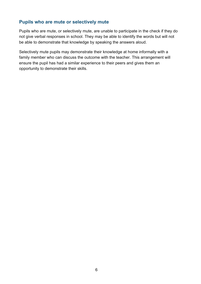#### **Pupils who are mute or selectively mute**

Pupils who are mute, or selectively mute, are unable to participate in the check if they do not give verbal responses in school. They may be able to identify the words but will not be able to demonstrate that knowledge by speaking the answers aloud.

Selectively mute pupils may demonstrate their knowledge at home informally with a family member who can discuss the outcome with the teacher. This arrangement will ensure the pupil has had a similar experience to their peers and gives them an opportunity to demonstrate their skills.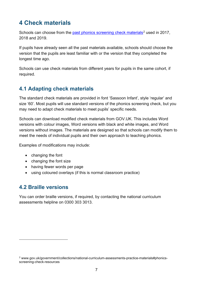# <span id="page-6-0"></span>**4 Check materials**

Schools can choose from the [past phonics screening check materials](https://www.gov.uk/government/collections/national-curriculum-assessments-practice-materials#phonics-screening-check-resources)<sup>[2](#page-6-3)</sup> used in 2017. 2018 and 2019.

If pupils have already seen all the past materials available, schools should choose the version that the pupils are least familiar with or the version that they completed the longest time ago.

Schools can use check materials from different years for pupils in the same cohort, if required.

## <span id="page-6-1"></span>**4.1 Adapting check materials**

The standard check materials are provided in font 'Sassoon Infant', style 'regular' and size '60'. Most pupils will use standard versions of the phonics screening check, but you may need to adapt check materials to meet pupils' specific needs.

Schools can download modified check materials from GOV.UK. This includes Word versions with colour images, Word versions with black and white images, and Word versions without images. The materials are designed so that schools can modify them to meet the needs of individual pupils and their own approach to teaching phonics.

Examples of modifications may include:

- changing the font
- changing the font size
- having fewer words per page
- using coloured overlays (if this is normal classroom practice)

#### <span id="page-6-2"></span>**4.2 Braille versions**

You can order braille versions, if required, by contacting the national curriculum assessments helpline on 0300 303 3013.

<span id="page-6-3"></span><sup>2</sup> www.gov.uk/government/collections/national-curriculum-assessments-practice-materials#phonicsscreening-check-resources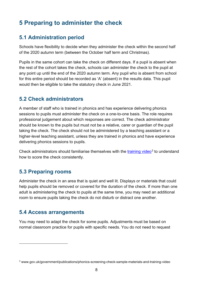# <span id="page-7-0"></span>**5 Preparing to administer the check**

### <span id="page-7-1"></span>**5.1 Administration period**

Schools have flexibility to decide when they administer the check within the second half of the 2020 autumn term (between the October half term and Christmas).

Pupils in the same cohort can take the check on different days. If a pupil is absent when the rest of the cohort takes the check, schools can administer the check to the pupil at any point up until the end of the 2020 autumn term. Any pupil who is absent from school for this entire period should be recorded as 'A' (absent) in the results data. This pupil would then be eligible to take the statutory check in June 2021.

#### <span id="page-7-2"></span>**5.2 Check administrators**

A member of staff who is trained in phonics and has experience delivering phonics sessions to pupils must administer the check on a one-to-one basis. The role requires professional judgement about which responses are correct. The check administrator should be known to the pupils but must not be a relative, carer or guardian of the pupil taking the check. The check should not be administered by a teaching assistant or a higher-level teaching assistant, unless they are trained in phonics and have experience delivering phonics sessions to pupils.

Check administrators should familiarise themselves with the [training video](http://www.gov.uk/government/publications/phonics-screening-check-sample-materials-and-training-video)<sup>[3](#page-7-5)</sup> to understand how to score the check consistently.

#### <span id="page-7-3"></span>**5.3 Preparing rooms**

Administer the check in an area that is quiet and well lit. Displays or materials that could help pupils should be removed or covered for the duration of the check. If more than one adult is administering the check to pupils at the same time, you may need an additional room to ensure pupils taking the check do not disturb or distract one another.

#### <span id="page-7-4"></span>**5.4 Access arrangements**

You may need to adapt the check for some pupils. Adjustments must be based on normal classroom practice for pupils with specific needs. You do not need to request

<span id="page-7-5"></span><sup>3</sup> www.gov.uk/government/publications/phonics-screening-check-sample-materials-and-training-video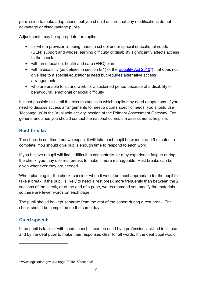permission to make adaptations, but you should ensure that any modifications do not advantage or disadvantage pupils.

Adjustments may be appropriate for pupils:

- for whom provision is being made in school under special educational needs (SEN) support and whose learning difficulty or disability significantly affects access to the check
- with an education, health and care (EHC) plan
- with a disability (as defined in section  $6(1)$  of the [Equality Act 2010](http://www.legislation.gov.uk/ukpga/2010/15/section/6)<sup>4</sup>) that does not give rise to a special educational need but requires alternative access arrangements
- who are unable to sit and work for a sustained period because of a disability or behavioural, emotional or social difficulty

It is not possible to list all the circumstances in which pupils may need adaptations. If you need to discuss access arrangements to meet a pupil's specific needs, you should use 'Message us' in the 'Available activity' section of the Primary Assessment Gateway. For general enquiries you should contact the national curriculum assessments helpline.

#### **Rest breaks**

The check is not timed but we expect it will take each pupil between 4 and 9 minutes to complete. You should give pupils enough time to respond to each word.

If you believe a pupil will find it difficult to concentrate, or may experience fatigue during the check, you may use rest breaks to make it more manageable. Rest breaks can be given whenever they are needed.

When planning for the check, consider when it would be most appropriate for the pupil to take a break. If the pupil is likely to need a rest break more frequently than between the 2 sections of the check, or at the end of a page, we recommend you modify the materials so there are fewer words on each page.

The pupil should be kept separate from the rest of the cohort during a rest break. The check should be completed on the same day.

#### **Cued speech**

If the pupil is familiar with cued speech, it can be used by a professional skilled in its use and by the deaf pupil to make their responses clear for all words. If the deaf pupil would

<span id="page-8-0"></span><sup>4</sup> www.legislation.gov.uk/ukpga/2010/15/section/6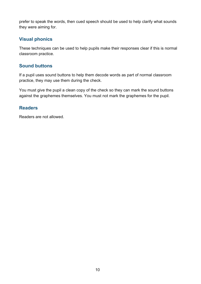prefer to speak the words, then cued speech should be used to help clarify what sounds they were aiming for.

#### **Visual phonics**

These techniques can be used to help pupils make their responses clear if this is normal classroom practice.

#### **Sound buttons**

If a pupil uses sound buttons to help them decode words as part of normal classroom practice, they may use them during the check.

You must give the pupil a clean copy of the check so they can mark the sound buttons against the graphemes themselves. You must not mark the graphemes for the pupil.

#### **Readers**

Readers are not allowed.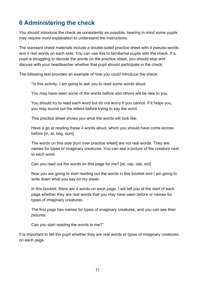# <span id="page-10-0"></span>**6 Administering the check**

You should introduce the check as consistently as possible, bearing in mind some pupils may require more explanation to understand the instructions.

The standard check materials include a double-sided practice sheet with 4 pseudo-words and 4 real words on each side. You can use this to familiarise pupils with the check. If a pupil is struggling to decode the words on the practice sheet, you should stop and discuss with your headteacher whether that pupil should participate in the check.

The following text provides an example of how you could introduce the check:

"In this activity, I am going to ask you to read some words aloud.

You may have seen some of the words before and others will be new to you.

You should try to read each word but do not worry if you cannot. If it helps you, you may sound out the letters before trying to say the word.

This practice sheet shows you what the words will look like.

Have a go at reading these 4 words aloud, which you should have come across before [in, at, beg, sum].

The words on this side [turn over practice sheet] are not real words. They are names for types of imaginary creatures. You can see a picture of the creature next to each word.

Can you read out the words on this page for me? [ot, vap, osk, ect]

Now you are going to start reading out the words in this booklet and I am going to write down what you say on my sheet.

In this booklet, there are 4 words on each page. I will tell you at the start of each page whether they are real words that you may have seen before or names for types of imaginary creatures.

The first page has names for types of imaginary creatures, and you can see their pictures.

Can you start reading the words to me?"

It is important to tell the pupil whether they are real words or types of imaginary creatures on each page.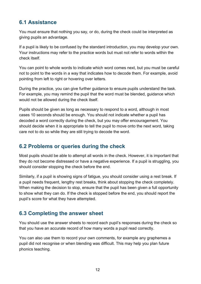## <span id="page-11-0"></span>**6.1 Assistance**

You must ensure that nothing you say, or do, during the check could be interpreted as giving pupils an advantage.

If a pupil is likely to be confused by the standard introduction, you may develop your own. Your instructions may refer to the practice words but must not refer to words within the check itself.

You can point to whole words to indicate which word comes next, but you must be careful not to point to the words in a way that indicates how to decode them. For example, avoid pointing from left to right or hovering over letters.

During the practice, you can give further guidance to ensure pupils understand the task. For example, you may remind the pupil that the word must be blended, guidance which would not be allowed during the check itself.

Pupils should be given as long as necessary to respond to a word, although in most cases 10 seconds should be enough. You should not indicate whether a pupil has decoded a word correctly during the check, but you may offer encouragement. You should decide when it is appropriate to tell the pupil to move onto the next word, taking care not to do so while they are still trying to decode the word.

### <span id="page-11-1"></span>**6.2 Problems or queries during the check**

Most pupils should be able to attempt all words in the check. However, it is important that they do not become distressed or have a negative experience. If a pupil is struggling, you should consider stopping the check before the end.

Similarly, if a pupil is showing signs of fatigue, you should consider using a rest break. If a pupil needs frequent, lengthy rest breaks, think about stopping the check completely. When making the decision to stop, ensure that the pupil has been given a full opportunity to show what they can do. If the check is stopped before the end, you should report the pupil's score for what they have attempted.

## <span id="page-11-2"></span>**6.3 Completing the answer sheet**

You should use the answer sheets to record each pupil's responses during the check so that you have an accurate record of how many words a pupil read correctly.

You can also use them to record your own comments, for example any graphemes a pupil did not recognise or when blending was difficult. This may help you plan future phonics teaching.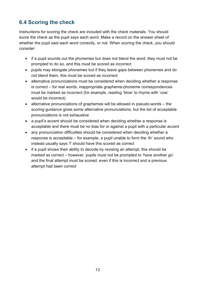# <span id="page-12-0"></span>**6.4 Scoring the check**

Instructions for scoring the check are included with the check materials. You should score the check as the pupil says each word. Make a record on the answer sheet of whether the pupil said each word correctly, or not. When scoring the check, you should consider:

- if a pupil sounds out the phonemes but does not blend the word, they must not be prompted to do so, and this must be scored as incorrect
- pupils may elongate phonemes but if they leave gaps between phonemes and do not blend them, this must be scored as incorrect
- alternative pronunciations must be considered when deciding whether a response is correct – for real words, inappropriate grapheme-phoneme correspondences must be marked as incorrect (for example, reading 'blow' to rhyme with 'cow' would be incorrect)
- alternative pronunciations of graphemes will be allowed in pseudo-words the scoring guidance gives some alternative pronunciations, but the list of acceptable pronunciations is not exhaustive
- a pupil's accent should be considered when deciding whether a response is acceptable and there must be no bias for or against a pupil with a particular accent
- any pronunciation difficulties should be considered when deciding whether a response is acceptable – for example, a pupil unable to form the 'th' sound who instead usually says 'f' should have this scored as correct
- if a pupil shows their ability to decode by revising an attempt, this should be marked as correct – however, pupils must not be prompted to 'have another go' and the final attempt must be scored, even if this is incorrect and a previous attempt had been correct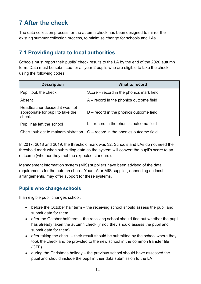# <span id="page-13-0"></span>**7 After the check**

The data collection process for the autumn check has been designed to mirror the existing summer collection process, to minimise change for schools and LAs.

## <span id="page-13-1"></span>**7.1 Providing data to local authorities**

Schools must report their pupils' check results to the LA by the end of the 2020 autumn term. Data must be submitted for all year 2 pupils who are eligible to take the check, using the following codes:

| <b>Description</b>                                                           | <b>What to record</b>                     |
|------------------------------------------------------------------------------|-------------------------------------------|
| Pupil took the check                                                         | Score – record in the phonics mark field  |
| Absent                                                                       | $A$ – record in the phonics outcome field |
| Headteacher decided it was not<br>appropriate for pupil to take the<br>check | $D$ – record in the phonics outcome field |
| Pupil has left the school                                                    | $L$ – record in the phonics outcome field |
| Check subject to maladministration                                           | $Q$ – record in the phonics outcome field |

In 2017, 2018 and 2019, the threshold mark was 32. Schools and LAs do not need the threshold mark when submitting data as the system will convert the pupil's score to an outcome (whether they met the expected standard).

Management information system (MIS) suppliers have been advised of the data requirements for the autumn check. Your LA or MIS supplier, depending on local arrangements, may offer support for these systems.

#### **Pupils who change schools**

If an eligible pupil changes school:

- before the October half term the receiving school should assess the pupil and submit data for them
- after the October half term the receiving school should find out whether the pupil has already taken the autumn check (if not, they should assess the pupil and submit data for them)
- after taking the check their result should be submitted by the school where they took the check and be provided to the new school in the common transfer file (CTF)
- during the Christmas holiday the previous school should have assessed the pupil and should include the pupil in their data submission to the LA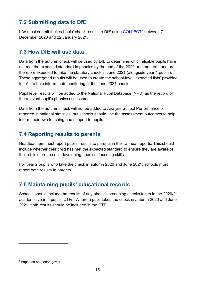# <span id="page-14-0"></span>**7.2 Submitting data to DfE**

LAs must submit their schools' check results to DfE using [COLLECT](https://sa.education.gov.uk/)<sup>[5](#page-14-4)</sup> between 7 December 2020 and 22 January 2021.

## <span id="page-14-1"></span>**7.3 How DfE will use data**

Data from the autumn check will be used by DfE to determine which eligible pupils have not met the expected standard in phonics by the end of the 2020 autumn term, and are therefore expected to take the statutory check in June 2021 (alongside year 1 pupils). These aggregated results will be used to create the school-level 'expected lists' provided to LAs to help inform their monitoring of the June 2021 check.

Pupil level results will be added to the National Pupil Database (NPD) as the record of the relevant pupil's phonics assessment.

Data from the autumn check will not be added to Analyse School Performance or reported in national statistics, but schools should use the assessment outcomes to help inform their own teaching and support to pupils.

## <span id="page-14-2"></span>**7.4 Reporting results to parents**

Headteachers must report pupils' results to parents in their annual reports. This should include whether their child has met the expected standard to ensure they are aware of their child's progress in developing phonics decoding skills.

For year 2 pupils who take the check in autumn 2020 and June 2021, schools must report both results to parents.

# <span id="page-14-3"></span>**7.5 Maintaining pupils' educational records**

Schools should include the results of any phonics screening checks taken in the 2020/21 academic year in pupils' CTFs. Where a pupil takes the check in autumn 2020 and June 2021, both results should be included in the CTF.

<span id="page-14-4"></span><sup>5</sup> https://sa.education.gov.uk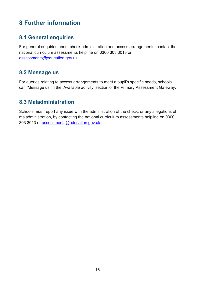# <span id="page-15-0"></span>**8 Further information**

#### <span id="page-15-1"></span>**8.1 General enquiries**

For general enquiries about check administration and access arrangements, contact the national curriculum assessments helpline on 0300 303 3013 or [assessments@education.gov.uk.](mailto:assessments@education.gov.uk)

#### <span id="page-15-2"></span>**8.2 Message us**

For queries relating to access arrangements to meet a pupil's specific needs, schools can 'Message us' in the 'Available activity' section of the Primary Assessment Gateway.

#### <span id="page-15-3"></span>**8.3 Maladministration**

Schools must report any issue with the administration of the check, or any allegations of maladministration, by contacting the national curriculum assessments helpline on 0300 303 3013 or [assessments@education.gov.uk.](mailto:assessments@education.gov.uk)